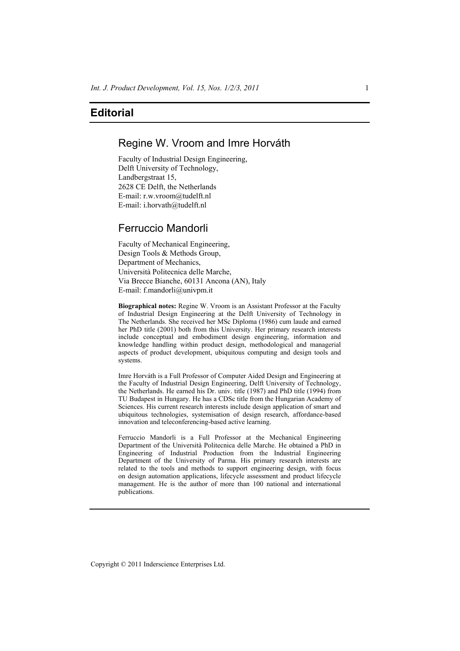# **Editorial**

# Regine W. Vroom and Imre Horváth

Faculty of Industrial Design Engineering, Delft University of Technology, Landbergstraat 15, 2628 CE Delft, the Netherlands E-mail: r.w.vroom@tudelft.nl E-mail: i.horvath@tudelft.nl

# Ferruccio Mandorli

Faculty of Mechanical Engineering, Design Tools & Methods Group, Department of Mechanics, Università Politecnica delle Marche, Via Brecce Bianche, 60131 Ancona (AN), Italy E-mail: f.mandorli@univpm.it

**Biographical notes:** Regine W. Vroom is an Assistant Professor at the Faculty of Industrial Design Engineering at the Delft University of Technology in The Netherlands. She received her MSc Diploma (1986) cum laude and earned her PhD title (2001) both from this University. Her primary research interests include conceptual and embodiment design engineering, information and knowledge handling within product design, methodological and managerial aspects of product development, ubiquitous computing and design tools and systems.

Imre Horváth is a Full Professor of Computer Aided Design and Engineering at the Faculty of Industrial Design Engineering, Delft University of Technology, the Netherlands. He earned his Dr. univ. title (1987) and PhD title (1994) from TU Budapest in Hungary. He has a CDSc title from the Hungarian Academy of Sciences. His current research interests include design application of smart and ubiquitous technologies, systemisation of design research, affordance-based innovation and teleconferencing-based active learning.

Ferruccio Mandorli is a Full Professor at the Mechanical Engineering Department of the Università Politecnica delle Marche. He obtained a PhD in Engineering of Industrial Production from the Industrial Engineering Department of the University of Parma. His primary research interests are related to the tools and methods to support engineering design, with focus on design automation applications, lifecycle assessment and product lifecycle management. He is the author of more than 100 national and international publications.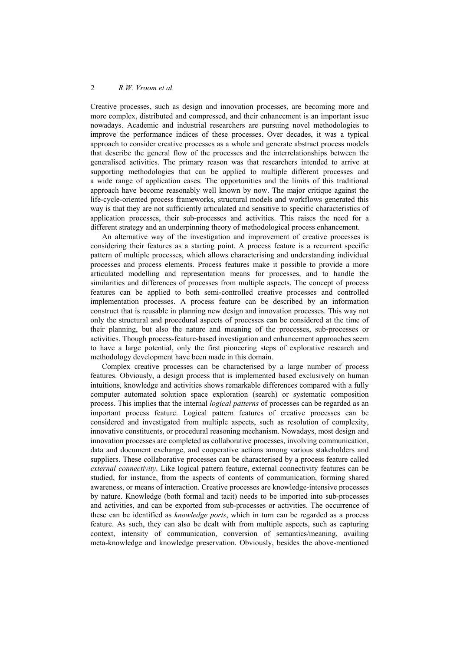## 2 *R.W. Vroom et al.*

Creative processes, such as design and innovation processes, are becoming more and more complex, distributed and compressed, and their enhancement is an important issue nowadays. Academic and industrial researchers are pursuing novel methodologies to improve the performance indices of these processes. Over decades, it was a typical approach to consider creative processes as a whole and generate abstract process models that describe the general flow of the processes and the interrelationships between the generalised activities. The primary reason was that researchers intended to arrive at supporting methodologies that can be applied to multiple different processes and a wide range of application cases. The opportunities and the limits of this traditional approach have become reasonably well known by now. The major critique against the life-cycle-oriented process frameworks, structural models and workflows generated this way is that they are not sufficiently articulated and sensitive to specific characteristics of application processes, their sub-processes and activities. This raises the need for a different strategy and an underpinning theory of methodological process enhancement.

An alternative way of the investigation and improvement of creative processes is considering their features as a starting point. A process feature is a recurrent specific pattern of multiple processes, which allows characterising and understanding individual processes and process elements. Process features make it possible to provide a more articulated modelling and representation means for processes, and to handle the similarities and differences of processes from multiple aspects. The concept of process features can be applied to both semi-controlled creative processes and controlled implementation processes. A process feature can be described by an information construct that is reusable in planning new design and innovation processes. This way not only the structural and procedural aspects of processes can be considered at the time of their planning, but also the nature and meaning of the processes, sub-processes or activities. Though process-feature-based investigation and enhancement approaches seem to have a large potential, only the first pioneering steps of explorative research and methodology development have been made in this domain.

Complex creative processes can be characterised by a large number of process features. Obviously, a design process that is implemented based exclusively on human intuitions, knowledge and activities shows remarkable differences compared with a fully computer automated solution space exploration (search) or systematic composition process. This implies that the internal *logical patterns* of processes can be regarded as an important process feature. Logical pattern features of creative processes can be considered and investigated from multiple aspects, such as resolution of complexity, innovative constituents, or procedural reasoning mechanism. Nowadays, most design and innovation processes are completed as collaborative processes, involving communication, data and document exchange, and cooperative actions among various stakeholders and suppliers. These collaborative processes can be characterised by a process feature called *external connectivity*. Like logical pattern feature, external connectivity features can be studied, for instance, from the aspects of contents of communication, forming shared awareness, or means of interaction. Creative processes are knowledge-intensive processes by nature. Knowledge (both formal and tacit) needs to be imported into sub-processes and activities, and can be exported from sub-processes or activities. The occurrence of these can be identified as *knowledge ports*, which in turn can be regarded as a process feature. As such, they can also be dealt with from multiple aspects, such as capturing context, intensity of communication, conversion of semantics/meaning, availing meta-knowledge and knowledge preservation. Obviously, besides the above-mentioned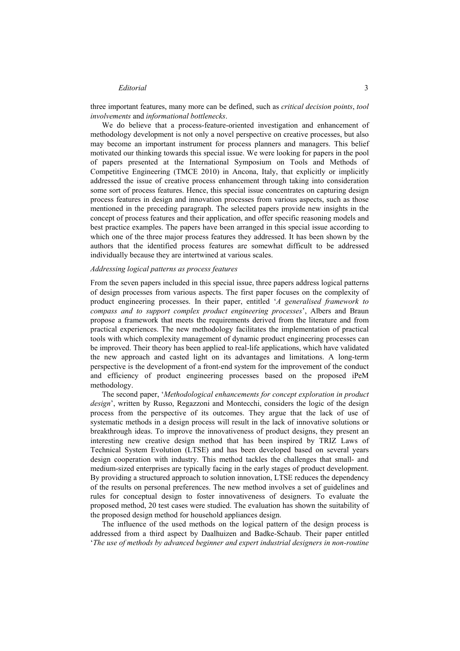### *Editorial* 3

three important features, many more can be defined, such as *critical decision points*, *tool involvements* and *informational bottlenecks*.

We do believe that a process-feature-oriented investigation and enhancement of methodology development is not only a novel perspective on creative processes, but also may become an important instrument for process planners and managers. This belief motivated our thinking towards this special issue. We were looking for papers in the pool of papers presented at the International Symposium on Tools and Methods of Competitive Engineering (TMCE 2010) in Ancona, Italy, that explicitly or implicitly addressed the issue of creative process enhancement through taking into consideration some sort of process features. Hence, this special issue concentrates on capturing design process features in design and innovation processes from various aspects, such as those mentioned in the preceding paragraph. The selected papers provide new insights in the concept of process features and their application, and offer specific reasoning models and best practice examples. The papers have been arranged in this special issue according to which one of the three major process features they addressed. It has been shown by the authors that the identified process features are somewhat difficult to be addressed individually because they are intertwined at various scales.

#### *Addressing logical patterns as process features*

From the seven papers included in this special issue, three papers address logical patterns of design processes from various aspects. The first paper focuses on the complexity of product engineering processes. In their paper, entitled '*A generalised framework to compass and to support complex product engineering processes*', Albers and Braun propose a framework that meets the requirements derived from the literature and from practical experiences. The new methodology facilitates the implementation of practical tools with which complexity management of dynamic product engineering processes can be improved. Their theory has been applied to real-life applications, which have validated the new approach and casted light on its advantages and limitations. A long-term perspective is the development of a front-end system for the improvement of the conduct and efficiency of product engineering processes based on the proposed iPeM methodology.

The second paper, '*Methodological enhancements for concept exploration in product design*', written by Russo, Regazzoni and Montecchi, considers the logic of the design process from the perspective of its outcomes. They argue that the lack of use of systematic methods in a design process will result in the lack of innovative solutions or breakthrough ideas. To improve the innovativeness of product designs, they present an interesting new creative design method that has been inspired by TRIZ Laws of Technical System Evolution (LTSE) and has been developed based on several years design cooperation with industry. This method tackles the challenges that small- and medium-sized enterprises are typically facing in the early stages of product development. By providing a structured approach to solution innovation, LTSE reduces the dependency of the results on personal preferences. The new method involves a set of guidelines and rules for conceptual design to foster innovativeness of designers. To evaluate the proposed method, 20 test cases were studied. The evaluation has shown the suitability of the proposed design method for household appliances design.

The influence of the used methods on the logical pattern of the design process is addressed from a third aspect by Daalhuizen and Badke-Schaub. Their paper entitled '*The use of methods by advanced beginner and expert industrial designers in non-routine*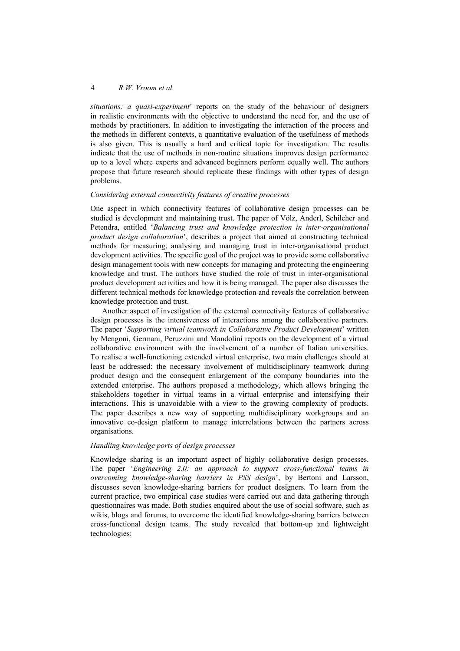## 4 *R.W. Vroom et al.*

*situations: a quasi-experiment*' reports on the study of the behaviour of designers in realistic environments with the objective to understand the need for, and the use of methods by practitioners. In addition to investigating the interaction of the process and the methods in different contexts, a quantitative evaluation of the usefulness of methods is also given. This is usually a hard and critical topic for investigation. The results indicate that the use of methods in non-routine situations improves design performance up to a level where experts and advanced beginners perform equally well. The authors propose that future research should replicate these findings with other types of design problems.

### *Considering external connectivity features of creative processes*

One aspect in which connectivity features of collaborative design processes can be studied is development and maintaining trust. The paper of Völz, Anderl, Schilcher and Petendra, entitled '*Balancing trust and knowledge protection in inter-organisational product design collaboration*', describes a project that aimed at constructing technical methods for measuring, analysing and managing trust in inter-organisational product development activities. The specific goal of the project was to provide some collaborative design management tools with new concepts for managing and protecting the engineering knowledge and trust. The authors have studied the role of trust in inter-organisational product development activities and how it is being managed. The paper also discusses the different technical methods for knowledge protection and reveals the correlation between knowledge protection and trust.

Another aspect of investigation of the external connectivity features of collaborative design processes is the intensiveness of interactions among the collaborative partners. The paper '*Supporting virtual teamwork in Collaborative Product Development*' written by Mengoni, Germani, Peruzzini and Mandolini reports on the development of a virtual collaborative environment with the involvement of a number of Italian universities. To realise a well-functioning extended virtual enterprise, two main challenges should at least be addressed: the necessary involvement of multidisciplinary teamwork during product design and the consequent enlargement of the company boundaries into the extended enterprise. The authors proposed a methodology, which allows bringing the stakeholders together in virtual teams in a virtual enterprise and intensifying their interactions. This is unavoidable with a view to the growing complexity of products. The paper describes a new way of supporting multidisciplinary workgroups and an innovative co-design platform to manage interrelations between the partners across organisations.

## *Handling knowledge ports of design processes*

Knowledge sharing is an important aspect of highly collaborative design processes. The paper '*Engineering 2.0: an approach to support cross-functional teams in overcoming knowledge-sharing barriers in PSS design*', by Bertoni and Larsson, discusses seven knowledge-sharing barriers for product designers. To learn from the current practice, two empirical case studies were carried out and data gathering through questionnaires was made. Both studies enquired about the use of social software, such as wikis, blogs and forums, to overcome the identified knowledge-sharing barriers between cross-functional design teams. The study revealed that bottom-up and lightweight technologies: